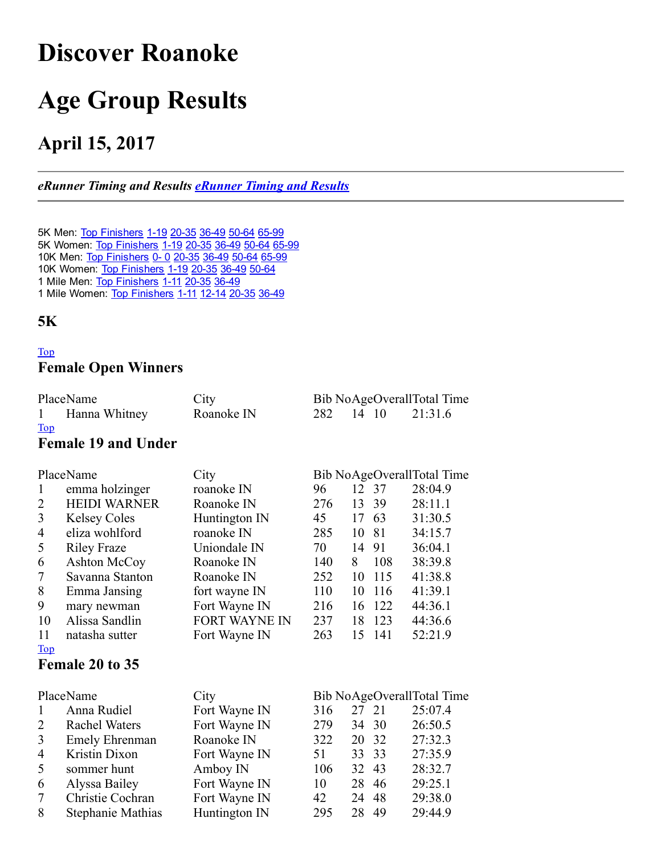# <span id="page-0-0"></span>Discover Roanoke

# Age Group Results

# April 15, 2017

#### *eRunner Timing and Results [eRunner](http://www.erunner.biz/) Timing and Results*

5K Men: Top Finishers 1-19 20-35 36-49 50-64 65-99 5K Women: Top Finishers 1-19 20-35 36-49 50-64 65-99 10K Men: Top Finishers 0- 0 20-35 36-49 50-64 65-99 10K Women: Top Finishers 1-19 20-35 36-49 50-64 1 Mile Men: Top Finishers 1-11 20-35 36-49 1 Mile Women: Top Finishers 1-11 12-14 20-35 36-49

#### 5K

#### [Top](#page-0-0) Female Open Winners

| PlaceName                        | City       |           |  | Bib NoAgeOverallTotal Time |
|----------------------------------|------------|-----------|--|----------------------------|
| Hanna Whitney<br>1               | Roanoke IN | 282 14 10 |  | 21:31.6                    |
| $\underline{\operatorname{Top}}$ |            |           |  |                            |

#### Female 19 and Under

|                | PlaceName             | City                 |     |    |       | Bib NoAgeOverallTotal Time |
|----------------|-----------------------|----------------------|-----|----|-------|----------------------------|
| 1              | emma holzinger        | roanoke IN           | 96  |    | 12 37 | 28:04.9                    |
| $\overline{2}$ | <b>HEIDI WARNER</b>   | Roanoke IN           | 276 | 13 | 39    | 28:11.1                    |
| 3              | <b>Kelsey Coles</b>   | Huntington IN        | 45  | 17 | 63    | 31:30.5                    |
| $\overline{4}$ | eliza wohlford        | roanoke IN           | 285 | 10 | 81    | 34:15.7                    |
| 5              | <b>Riley Fraze</b>    | Uniondale IN         | 70  | 14 | 91    | 36:04.1                    |
| 6              | Ashton McCoy          | Roanoke IN           | 140 | 8  | 108   | 38:39.8                    |
| 7              | Savanna Stanton       | Roanoke IN           | 252 | 10 | 115   | 41:38.8                    |
| 8              | Emma Jansing          | fort wayne IN        | 110 | 10 | 116   | 41:39.1                    |
| 9              | mary newman           | Fort Wayne IN        | 216 | 16 | 122   | 44:36.1                    |
| 10             | Alissa Sandlin        | <b>FORT WAYNE IN</b> | 237 | 18 | 123   | 44:36.6                    |
| 11             | natasha sutter        | Fort Wayne IN        | 263 | 15 | 141   | 52:21.9                    |
| <u>Top</u>     |                       |                      |     |    |       |                            |
|                | Female 20 to 35       |                      |     |    |       |                            |
|                |                       |                      |     |    |       |                            |
|                | PlaceName             | City                 |     |    |       | Bib NoAgeOverallTotal Time |
| 1              | Anna Rudiel           | Fort Wayne IN        | 316 | 27 | 21    | 25:07.4                    |
| 2              | Rachel Waters         | Fort Wayne IN        | 279 | 34 | 30    | 26:50.5                    |
| 3              | <b>Emely Ehrenman</b> | Roanoke IN           | 322 | 20 | 32    | 27:32.3                    |
| $\overline{4}$ | Kristin Dixon         | Fort Wayne IN        | 51  | 33 | 33    | 27:35.9                    |
| 5              | sommer hunt           | Amboy IN             | 106 | 32 | 43    | 28:32.7                    |
| 6              | Alyssa Bailey         | Fort Wayne IN        | 10  | 28 | 46    | 29:25.1                    |
| 7              | Christie Cochran      | Fort Wayne IN        | 42  | 24 | 48    | 29:38.0                    |
| 8              | Stephanie Mathias     | Huntington IN        | 295 | 28 | 49    | 29:44.9                    |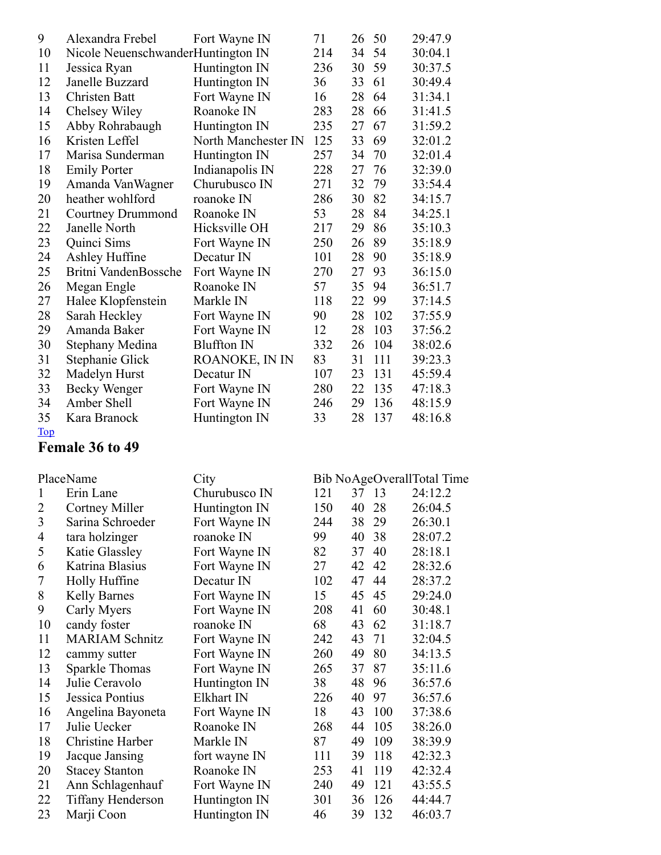| 9              | Alexandra Frebel                             | Fort Wayne IN                  | 71  | 26 | 50  | 29:47.9                    |
|----------------|----------------------------------------------|--------------------------------|-----|----|-----|----------------------------|
| 10             | Nicole NeuenschwanderHuntington IN           |                                | 214 | 34 | 54  | 30:04.1                    |
| 11             | Jessica Ryan                                 | Huntington IN                  | 236 | 30 | 59  | 30:37.5                    |
| 12             | Janelle Buzzard                              | Huntington IN                  | 36  | 33 | 61  | 30:49.4                    |
| 13             | Christen Batt                                | Fort Wayne IN                  | 16  | 28 | 64  | 31:34.1                    |
| 14             | Chelsey Wiley                                | Roanoke IN                     | 283 | 28 | 66  | 31:41.5                    |
| 15             | Abby Rohrabaugh                              | Huntington IN                  | 235 | 27 | 67  | 31:59.2                    |
| 16             | Kristen Leffel                               | North Manchester IN            | 125 | 33 | 69  | 32:01.2                    |
| 17             | Marisa Sunderman                             | Huntington IN                  | 257 | 34 | 70  | 32:01.4                    |
| 18             | <b>Emily Porter</b>                          | Indianapolis IN                | 228 | 27 | 76  | 32:39.0                    |
| 19             | Amanda VanWagner                             | Churubusco IN                  | 271 | 32 | 79  | 33:54.4                    |
| 20             | heather wohlford                             | roanoke IN                     | 286 | 30 | 82  | 34:15.7                    |
| 21             | <b>Courtney Drummond</b>                     | Roanoke IN                     | 53  | 28 | 84  | 34:25.1                    |
| 22             | Janelle North                                | Hicksville OH                  | 217 | 29 | 86  | 35:10.3                    |
| 23             | Quinci Sims                                  | Fort Wayne IN                  | 250 | 26 | 89  | 35:18.9                    |
| 24             | Ashley Huffine                               | Decatur IN                     | 101 | 28 | 90  | 35:18.9                    |
| 25             | Britni VandenBossche                         | Fort Wayne IN                  | 270 | 27 | 93  | 36:15.0                    |
| 26             | Megan Engle                                  | Roanoke IN                     | 57  | 35 | 94  | 36:51.7                    |
| 27             | Halee Klopfenstein                           | Markle IN                      | 118 | 22 | 99  | 37:14.5                    |
| 28             | Sarah Heckley                                | Fort Wayne IN                  | 90  | 28 | 102 | 37:55.9                    |
| 29             | Amanda Baker                                 | Fort Wayne IN                  | 12  | 28 | 103 | 37:56.2                    |
| 30             | Stephany Medina                              | <b>Bluffton IN</b>             | 332 | 26 | 104 | 38:02.6                    |
| 31             | Stephanie Glick                              | ROANOKE, IN IN                 | 83  | 31 | 111 | 39:23.3                    |
| 32             | Madelyn Hurst                                | Decatur IN                     | 107 | 23 | 131 | 45:59.4                    |
| 33             | Becky Wenger                                 | Fort Wayne IN                  | 280 | 22 | 135 | 47:18.3                    |
| 34             | Amber Shell                                  | Fort Wayne IN                  | 246 | 29 | 136 | 48:15.9                    |
|                |                                              | Huntington IN                  | 33  | 28 | 137 | 48:16.8                    |
|                |                                              |                                |     |    |     |                            |
| 35             | Kara Branock                                 |                                |     |    |     |                            |
| <b>Top</b>     | Female 36 to 49                              |                                |     |    |     |                            |
|                |                                              |                                |     |    |     |                            |
|                | PlaceName                                    | City                           |     |    |     | Bib NoAgeOverallTotal Time |
| 1              | Erin Lane                                    | Churubusco IN                  | 121 | 37 | 13  | 24:12.2                    |
| $\overline{2}$ | Cortney Miller                               | Huntington IN                  | 150 | 40 | 28  | 26:04.5                    |
| $\mathfrak{Z}$ | Sarina Schroeder                             | Fort Wayne IN                  | 244 | 38 | 29  | 26:30.1                    |
| 4              | tara holzinger                               | roanoke IN                     | 99  | 40 | 38  | 28:07.2                    |
| 5              | Katie Glassley                               | Fort Wayne IN                  | 82  | 37 | 40  | 28:18.1                    |
| 6              | Katrina Blasius                              | Fort Wayne IN                  | 27  | 42 | 42  | 28:32.6                    |
| $\overline{7}$ | Holly Huffine                                | Decatur IN                     | 102 | 47 | 44  | 28:37.2                    |
| 8              | <b>Kelly Barnes</b>                          | Fort Wayne IN                  | 15  | 45 | 45  | 29:24.0                    |
| 9              | Carly Myers                                  | Fort Wayne IN                  | 208 | 41 | 60  | 30:48.1                    |
| 10             | candy foster                                 | roanoke IN                     | 68  | 43 | 62  | 31:18.7                    |
| 11             | <b>MARIAM Schnitz</b>                        | Fort Wayne IN                  | 242 | 43 | 71  | 32:04.5                    |
| 12             |                                              | Fort Wayne IN                  | 260 | 49 | 80  | 34:13.5                    |
| 13             | cammy sutter<br><b>Sparkle Thomas</b>        | Fort Wayne IN                  | 265 | 37 | 87  | 35:11.6                    |
| 14             | Julie Ceravolo                               |                                | 38  | 48 | 96  | 36:57.6                    |
| 15             | Jessica Pontius                              | Huntington IN<br>Elkhart IN    | 226 | 40 | 97  | 36:57.6                    |
| 16             |                                              |                                | 18  | 43 | 100 |                            |
| 17             | Angelina Bayoneta<br>Julie Uecker            | Fort Wayne IN<br>Roanoke IN    | 268 | 44 | 105 | 37:38.6                    |
| 18             | Christine Harber                             | Markle IN                      | 87  | 49 | 109 | 38:26.0<br>38:39.9         |
| 19             |                                              | fort wayne IN                  | 111 | 39 | 118 | 42:32.3                    |
| 20             | Jacque Jansing                               | Roanoke IN                     | 253 | 41 | 119 |                            |
| 21             | <b>Stacey Stanton</b>                        |                                | 240 | 49 | 121 | 42:32.4                    |
| 22             | Ann Schlagenhauf<br><b>Tiffany Henderson</b> | Fort Wayne IN<br>Huntington IN | 301 | 36 | 126 | 43:55.5<br>44:44.7         |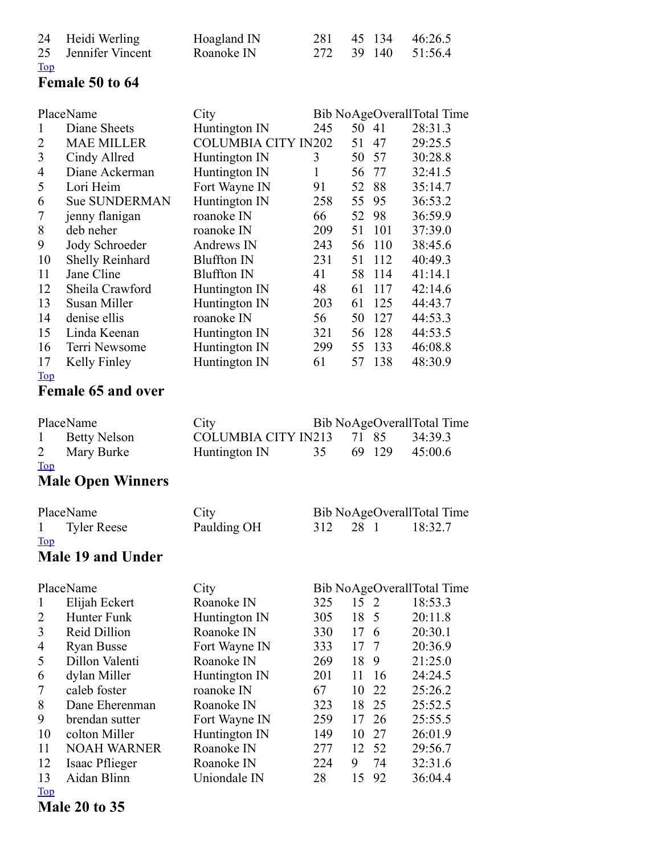|            | 24 Heidi Werling    | Hoagland IN |  | 281 45 134 46:26.5 |
|------------|---------------------|-------------|--|--------------------|
|            | 25 Jennifer Vincent | Roanoke IN  |  | 272 39 140 51:56.4 |
| <u>Top</u> |                     |             |  |                    |

### Female 50 to 64

|                | PlaceName                 | City                        |     |       |     | Bib NoAgeOverallTotal Time            |
|----------------|---------------------------|-----------------------------|-----|-------|-----|---------------------------------------|
| $\mathbf{1}$   | Diane Sheets              | Huntington IN               | 245 | 50 41 |     | 28:31.3                               |
| $\overline{2}$ | <b>MAE MILLER</b>         | <b>COLUMBIA CITY IN202</b>  |     | 51    | 47  | 29:25.5                               |
| 3              | Cindy Allred              | Huntington IN               | 3   | 50    | 57  | 30:28.8                               |
| 4              | Diane Ackerman            | Huntington IN               | 1   | 56    | 77  | 32:41.5                               |
| 5              | Lori Heim                 | Fort Wayne IN               | 91  | 52    | 88  | 35:14.7                               |
| 6              | <b>Sue SUNDERMAN</b>      | Huntington IN               | 258 | 55    | 95  | 36:53.2                               |
| 7              | jenny flanigan            | roanoke IN                  | 66  | 52    | 98  | 36:59.9                               |
| 8              | deb neher                 | roanoke IN                  | 209 | 51    | 101 | 37:39.0                               |
| 9              | Jody Schroeder            | Andrews IN                  | 243 | 56    | 110 | 38:45.6                               |
| 10             | Shelly Reinhard           | <b>Bluffton IN</b>          | 231 | 51    | 112 | 40:49.3                               |
| 11             | Jane Cline                | <b>Bluffton IN</b>          | 41  | 58    | 114 | 41:14.1                               |
| 12             | Sheila Crawford           | Huntington IN               | 48  | 61    | 117 | 42:14.6                               |
| 13             | Susan Miller              | Huntington IN               | 203 | 61    | 125 | 44:43.7                               |
| 14             | denise ellis              | roanoke IN                  | 56  | 50    | 127 | 44:53.3                               |
| 15             | Linda Keenan              | Huntington IN               | 321 | 56    | 128 | 44:53.5                               |
| 16             | Terri Newsome             | Huntington IN               | 299 | 55    | 133 | 46:08.8                               |
| 17             | Kelly Finley              | Huntington IN               | 61  | 57    | 138 | 48:30.9                               |
| Top            |                           |                             |     |       |     |                                       |
|                | <b>Female 65 and over</b> |                             |     |       |     |                                       |
|                |                           |                             |     |       |     |                                       |
|                | PlaceName                 | City                        |     |       |     | Bib NoAgeOverallTotal Time            |
| $\mathbf{1}$   | <b>Betty Nelson</b>       | <b>COLUMBIA CITY IN213</b>  |     | 71    | 85  | 34:39.3                               |
| 2              | Mary Burke                | Huntington IN               | 35  | 69    | 129 | 45:00.6                               |
| <b>Top</b>     |                           |                             |     |       |     |                                       |
|                | <b>Male Open Winners</b>  |                             |     |       |     |                                       |
|                | PlaceName                 | City                        |     |       |     | Bib NoAgeOverallTotal Time            |
| 1              | <b>Tyler Reese</b>        | Paulding OH                 | 312 | 28 1  |     | 18:32.7                               |
| <b>Top</b>     |                           |                             |     |       |     |                                       |
|                | Male 19 and Under         |                             |     |       |     |                                       |
|                | PlaceName                 | City                        |     |       |     |                                       |
| $\mathbf{1}$   | Elijah Eckert             | Roanoke IN                  | 325 | 15    | 2   | Bib NoAgeOverallTotal Time<br>18:53.3 |
| 2              | Hunter Funk               | Huntington IN               | 305 | 18    | 5   | 20:11.8                               |
| 3              | Reid Dillion              | Roanoke IN                  | 330 | 17    | 6   | 20:30.1                               |
| 4              | <b>Ryan Busse</b>         | Fort Wayne IN               | 333 | 17    | 7   | 20:36.9                               |
| 5              | Dillon Valenti            | Roanoke IN                  | 269 | 18    | 9   | 21:25.0                               |
| 6              | dylan Miller              |                             | 201 | 11    | 16  | 24:24.5                               |
| 7              | caleb foster              | Huntington IN<br>roanoke IN | 67  | 10    | 22  | 25:26.2                               |
| 8              | Dane Eherenman            | Roanoke IN                  | 323 | 18    | 25  | 25:52.5                               |
| 9              | brendan sutter            |                             | 259 | 17    | 26  | 25:55.5                               |
| 10             | colton Miller             | Fort Wayne IN               | 149 | 10    | 27  | 26:01.9                               |
| 11             | <b>NOAH WARNER</b>        | Huntington IN<br>Roanoke IN | 277 | 12    | 52  | 29:56.7                               |
| 12             | Isaac Pflieger            | Roanoke IN                  | 224 | 9     | 74  | 32:31.6                               |
|                |                           |                             |     |       |     |                                       |

 Aidan Blinn Uniondale IN 28 15 92 36:04.4 [Top](#page-0-0)

Male 20 to 35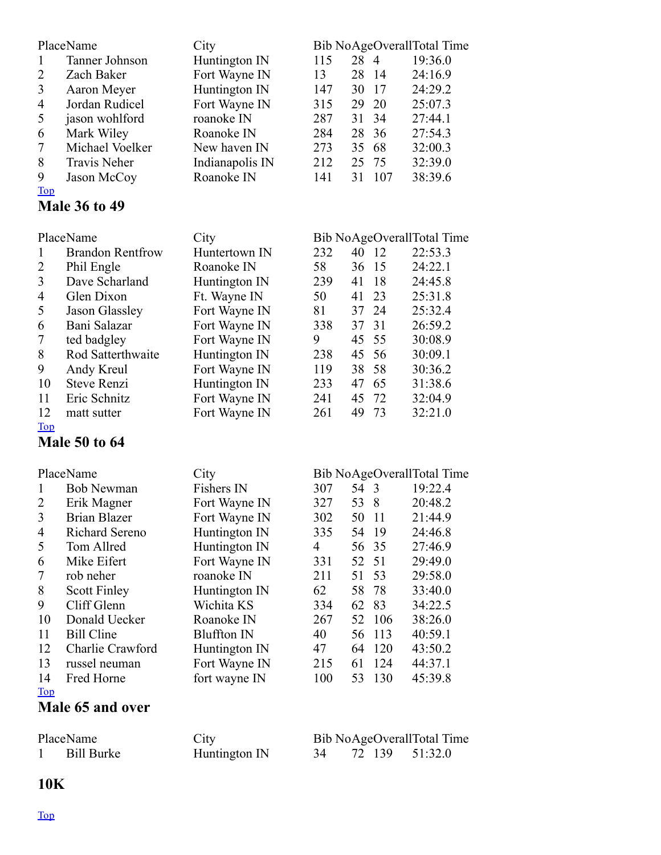| $\mathbf{1}$<br>$\overline{2}$<br>$\overline{3}$<br>4<br>5<br>6<br>7<br>8<br>9 | PlaceName<br>Tanner Johnson<br>Zach Baker<br>Aaron Meyer<br>Jordan Rudicel<br>jason wohlford<br>Mark Wiley<br>Michael Voelker<br><b>Travis Neher</b><br>Jason McCoy | City<br>Huntington IN<br>Fort Wayne IN<br>Huntington IN<br>Fort Wayne IN<br>roanoke IN<br>Roanoke IN<br>New haven IN<br>Indianapolis IN<br>Roanoke IN | 115<br>13<br>147<br>315<br>287<br>284<br>273<br>212<br>141 | 28 4<br>28<br>30<br>29<br>31<br>28<br>35<br>25<br>31 | 14<br>17<br>20<br>34<br>36<br>68<br>75<br>107 | Bib NoAgeOverallTotal Time<br>19:36.0<br>24:16.9<br>24:29.2<br>25:07.3<br>27:44.1<br>27:54.3<br>32:00.3<br>32:39.0<br>38:39.6 |
|--------------------------------------------------------------------------------|---------------------------------------------------------------------------------------------------------------------------------------------------------------------|-------------------------------------------------------------------------------------------------------------------------------------------------------|------------------------------------------------------------|------------------------------------------------------|-----------------------------------------------|-------------------------------------------------------------------------------------------------------------------------------|
| <b>Top</b>                                                                     | <b>Male 36 to 49</b>                                                                                                                                                |                                                                                                                                                       |                                                            |                                                      |                                               |                                                                                                                               |
|                                                                                | PlaceName                                                                                                                                                           | City                                                                                                                                                  |                                                            |                                                      |                                               | Bib NoAgeOverallTotal Time                                                                                                    |
| $\mathbf{1}$                                                                   | <b>Brandon Rentfrow</b>                                                                                                                                             | Huntertown IN                                                                                                                                         | 232                                                        | 40                                                   | 12                                            | 22:53.3                                                                                                                       |
| $\overline{2}$                                                                 | Phil Engle                                                                                                                                                          | Roanoke IN                                                                                                                                            | 58                                                         | 36                                                   | 15                                            | 24:22.1                                                                                                                       |
| $\overline{3}$                                                                 | Dave Scharland                                                                                                                                                      | Huntington IN                                                                                                                                         | 239                                                        | 41                                                   | 18                                            | 24:45.8                                                                                                                       |
| 4                                                                              | Glen Dixon                                                                                                                                                          | Ft. Wayne IN                                                                                                                                          | 50                                                         | 41                                                   | 23                                            | 25:31.8                                                                                                                       |
| 5                                                                              | <b>Jason Glassley</b>                                                                                                                                               | Fort Wayne IN                                                                                                                                         | 81                                                         | 37                                                   | 24                                            | 25:32.4                                                                                                                       |
| 6                                                                              | Bani Salazar                                                                                                                                                        | Fort Wayne IN                                                                                                                                         | 338                                                        | 37                                                   | 31                                            | 26:59.2                                                                                                                       |
| $\overline{7}$                                                                 | ted badgley                                                                                                                                                         | Fort Wayne IN                                                                                                                                         | 9                                                          | 45                                                   | 55                                            | 30:08.9                                                                                                                       |
| 8                                                                              | Rod Satterthwaite                                                                                                                                                   | Huntington IN                                                                                                                                         | 238                                                        | 45                                                   | 56                                            | 30:09.1                                                                                                                       |
| 9                                                                              | Andy Kreul                                                                                                                                                          | Fort Wayne IN                                                                                                                                         | 119                                                        | 38                                                   | 58                                            | 30:36.2                                                                                                                       |
| 10                                                                             | <b>Steve Renzi</b>                                                                                                                                                  | Huntington IN                                                                                                                                         | 233                                                        | 47                                                   | 65                                            | 31:38.6                                                                                                                       |
| 11                                                                             | Eric Schnitz                                                                                                                                                        |                                                                                                                                                       | 241                                                        | 45                                                   | 72                                            |                                                                                                                               |
| 12                                                                             |                                                                                                                                                                     | Fort Wayne IN                                                                                                                                         |                                                            | 49                                                   |                                               | 32:04.9                                                                                                                       |
|                                                                                | matt sutter                                                                                                                                                         | Fort Wayne IN                                                                                                                                         | 261                                                        |                                                      | 73                                            | 32:21.0                                                                                                                       |
| <b>Top</b>                                                                     | <b>Male 50 to 64</b>                                                                                                                                                |                                                                                                                                                       |                                                            |                                                      |                                               |                                                                                                                               |
|                                                                                |                                                                                                                                                                     |                                                                                                                                                       |                                                            |                                                      |                                               |                                                                                                                               |
|                                                                                | PlaceName                                                                                                                                                           | City                                                                                                                                                  |                                                            |                                                      |                                               | Bib NoAgeOverallTotal Time                                                                                                    |
| $\mathbf{1}$                                                                   | <b>Bob Newman</b>                                                                                                                                                   | Fishers IN                                                                                                                                            | 307                                                        | 54 3                                                 |                                               | 19:22.4                                                                                                                       |
| 2                                                                              | Erik Magner                                                                                                                                                         | Fort Wayne IN                                                                                                                                         | 327                                                        | 53                                                   | 8                                             | 20:48.2                                                                                                                       |
| $\mathfrak{Z}$                                                                 | <b>Brian Blazer</b>                                                                                                                                                 | Fort Wayne IN                                                                                                                                         | 302                                                        | 50                                                   | 11                                            | 21:44.9                                                                                                                       |
| 4                                                                              | <b>Richard Sereno</b>                                                                                                                                               |                                                                                                                                                       | 335                                                        | 54                                                   | 19                                            | 24:46.8                                                                                                                       |
|                                                                                | Tom Allred                                                                                                                                                          | Huntington IN<br>Huntington IN                                                                                                                        | 4                                                          |                                                      |                                               |                                                                                                                               |
| 5                                                                              |                                                                                                                                                                     |                                                                                                                                                       |                                                            | 56                                                   | 35                                            | 27:46.9                                                                                                                       |
| 6                                                                              | Mike Eifert                                                                                                                                                         | Fort Wayne IN                                                                                                                                         | 331                                                        | 52                                                   | 51                                            | 29:49.0                                                                                                                       |
| 7                                                                              | rob neher                                                                                                                                                           | roanoke IN                                                                                                                                            | 211                                                        | 51                                                   | 53                                            | 29:58.0                                                                                                                       |
| 8                                                                              | <b>Scott Finley</b>                                                                                                                                                 | Huntington IN                                                                                                                                         | 62                                                         | 58                                                   | 78                                            | 33:40.0                                                                                                                       |
| 9                                                                              | Cliff Glenn                                                                                                                                                         | Wichita KS                                                                                                                                            | 334                                                        | 62                                                   | 83                                            | 34:22.5                                                                                                                       |
| 10                                                                             | Donald Uecker                                                                                                                                                       | Roanoke IN                                                                                                                                            | 267                                                        | 52                                                   | 106                                           | 38:26.0                                                                                                                       |
| 11                                                                             | <b>Bill Cline</b>                                                                                                                                                   | <b>Bluffton IN</b>                                                                                                                                    | 40                                                         | 56                                                   | 113                                           | 40:59.1                                                                                                                       |
| 12                                                                             | Charlie Crawford                                                                                                                                                    | Huntington IN                                                                                                                                         | 47                                                         | 64                                                   | 120                                           | 43:50.2                                                                                                                       |
| 13                                                                             | russel neuman                                                                                                                                                       | Fort Wayne IN                                                                                                                                         | 215                                                        | 61                                                   | 124                                           | 44:37.1                                                                                                                       |
| 14                                                                             | Fred Horne                                                                                                                                                          | fort wayne IN                                                                                                                                         | 100                                                        | 53                                                   | 130                                           | 45:39.8                                                                                                                       |
| <b>Top</b>                                                                     |                                                                                                                                                                     |                                                                                                                                                       |                                                            |                                                      |                                               |                                                                                                                               |
|                                                                                | Male 65 and over                                                                                                                                                    |                                                                                                                                                       |                                                            |                                                      |                                               |                                                                                                                               |
|                                                                                |                                                                                                                                                                     |                                                                                                                                                       |                                                            |                                                      |                                               |                                                                                                                               |
|                                                                                | PlaceName                                                                                                                                                           | City                                                                                                                                                  |                                                            |                                                      |                                               | Bib NoAgeOverallTotal Time                                                                                                    |

## Bill Burke Huntington IN 34 72 139 51:32.0

## 10K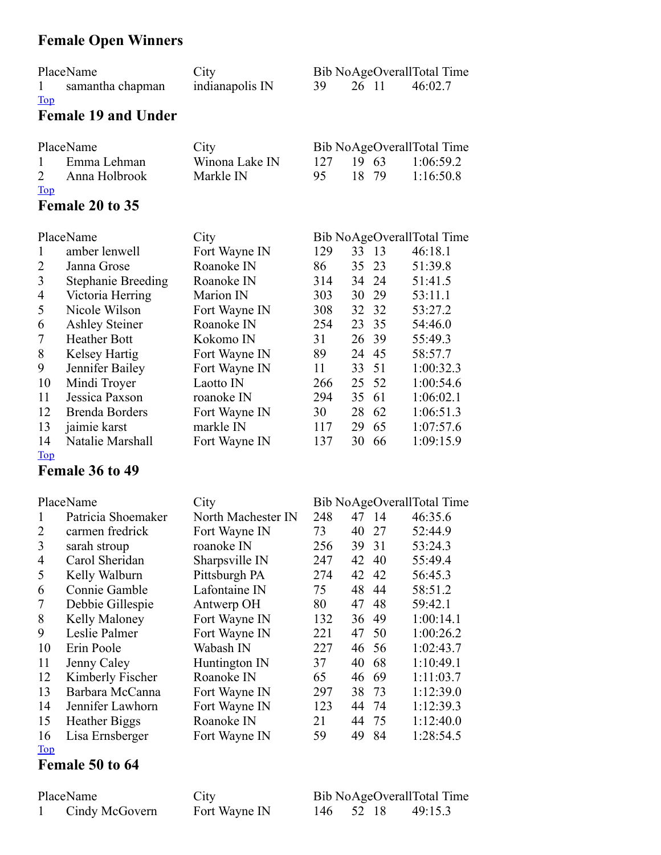## Female Open Winners

|            | PlaceName        | City            |  |       | Bib NoAgeOverallTotal Time |
|------------|------------------|-----------------|--|-------|----------------------------|
|            | samantha chapman | indianapolis IN |  | 26 11 | 46:02.7                    |
| <b>Top</b> |                  |                 |  |       |                            |

#### Female 19 and Under

|              | PlaceName       | City           |      |       |       | Bib NoAgeOverallTotal Time |
|--------------|-----------------|----------------|------|-------|-------|----------------------------|
| $\mathbf{1}$ | Emma Lehman     | Winona Lake IN | 12.7 | 19 63 |       | 1.06.592                   |
|              | 2 Anna Holbrook | Markle IN      | 95.  |       | 18 79 | 1.16:508                   |
| <b>Top</b>   |                 |                |      |       |       |                            |
|              | Female 20 to 35 |                |      |       |       |                            |

|                | PlaceName                 | City          |     |       |     | Bib NoAgeOverallTotal Time |
|----------------|---------------------------|---------------|-----|-------|-----|----------------------------|
| 1              | amber lenwell             | Fort Wayne IN | 129 | 33 13 |     | 46:18.1                    |
| 2              | Janna Grose               | Roanoke IN    | 86  | 35    | 23  | 51:39.8                    |
| 3              | <b>Stephanie Breeding</b> | Roanoke IN    | 314 | 34 24 |     | 51:41.5                    |
| $\overline{4}$ | Victoria Herring          | Marion IN     | 303 | 30    | 29  | 53:11.1                    |
| 5              | Nicole Wilson             | Fort Wayne IN | 308 | 32 32 |     | 53:27.2                    |
| 6              | <b>Ashley Steiner</b>     | Roanoke IN    | 254 | 23 35 |     | 54:46.0                    |
| 7              | <b>Heather Bott</b>       | Kokomo IN     | 31  | 26 39 |     | 55:49.3                    |
| 8              | Kelsey Hartig             | Fort Wayne IN | 89  | 24    | 45  | 58:57.7                    |
| 9              | Jennifer Bailey           | Fort Wayne IN | 11  | 33 51 |     | 1:00:32.3                  |
| 10             | Mindi Troyer              | Laotto IN     | 266 | 25 52 |     | 1:00:54.6                  |
| 11             | Jessica Paxson            | roanoke IN    | 294 | 35    | -61 | 1:06:02.1                  |
| 12             | <b>Brenda Borders</b>     | Fort Wayne IN | 30  | 28    | 62  | 1:06:51.3                  |
| 13             | jaimie karst              | markle IN     | 117 | 29    | 65  | 1:07:57.6                  |
| 14             | Natalie Marshall          | Fort Wayne IN | 137 | 30    | 66  | 1:09:15.9                  |

#### [Top](#page-0-0)

### Female 36 to 49

|                | PlaceName            | City               |     |    |                 | Bib NoAgeOverallTotal Time |
|----------------|----------------------|--------------------|-----|----|-----------------|----------------------------|
| 1              | Patricia Shoemaker   | North Machester IN | 248 | 47 | $\overline{14}$ | 46:35.6                    |
| 2              | carmen fredrick      | Fort Wayne IN      | 73  | 40 | 27              | 52:44.9                    |
| 3              | sarah stroup         | roanoke IN         | 256 | 39 | 31              | 53:24.3                    |
| $\overline{4}$ | Carol Sheridan       | Sharpsville IN     | 247 | 42 | 40              | 55:49.4                    |
| 5              | Kelly Walburn        | Pittsburgh PA      | 274 | 42 | 42              | 56:45.3                    |
| 6              | Connie Gamble        | Lafontaine IN      | 75  | 48 | 44              | 58:51.2                    |
| 7              | Debbie Gillespie     | Antwerp OH         | 80  | 47 | 48              | 59:42.1                    |
| 8              | Kelly Maloney        | Fort Wayne IN      | 132 | 36 | 49              | 1:00:14.1                  |
| 9              | Leslie Palmer        | Fort Wayne IN      | 221 | 47 | 50              | 1:00:26.2                  |
| 10             | Erin Poole           | Wabash IN          | 227 |    | 46 56           | 1:02:43.7                  |
| 11             | Jenny Caley          | Huntington IN      | 37  | 40 | 68              | 1:10:49.1                  |
| 12             | Kimberly Fischer     | Roanoke IN         | 65  | 46 | -69             | 1:11:03.7                  |
| 13             | Barbara McCanna      | Fort Wayne IN      | 297 | 38 | 73              | 1:12:39.0                  |
| 14             | Jennifer Lawhorn     | Fort Wayne IN      | 123 | 44 | 74              | 1:12:39.3                  |
| 15             | <b>Heather Biggs</b> | Roanoke IN         | 21  | 44 | 75              | 1:12:40.0                  |
| 16             | Lisa Ernsberger      | Fort Wayne IN      | 59  | 49 | 84              | 1:28:54.5                  |
| Top            |                      |                    |     |    |                 |                            |

#### Female 50 to 64

| PlaceName      | City          |           |  | Bib NoAgeOverallTotal Time |
|----------------|---------------|-----------|--|----------------------------|
| Cindy McGovern | Fort Wayne IN | 146 52 18 |  | 49:15.3                    |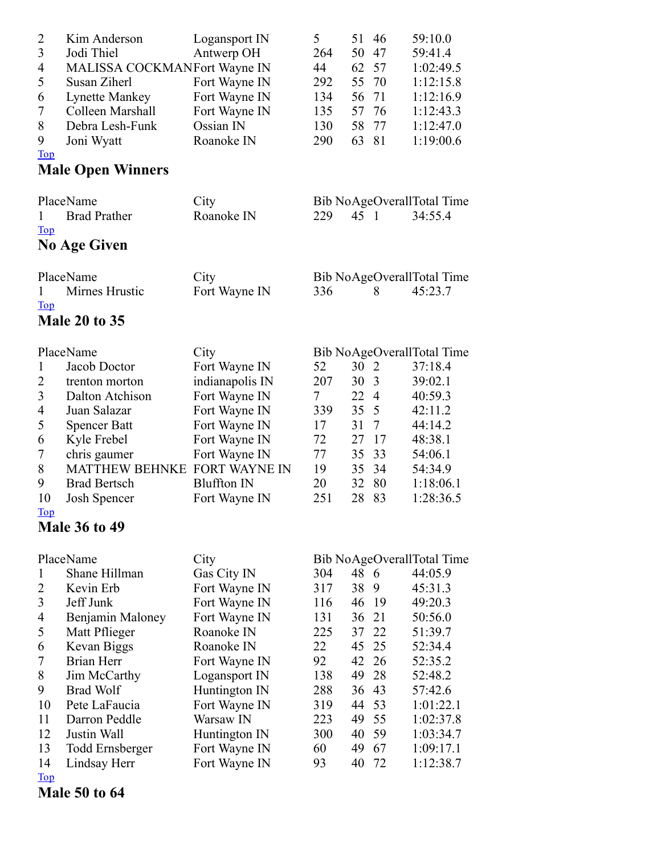| $\overline{c}$<br>3<br>4<br>5<br>6<br>7<br>8<br>9<br><b>Top</b> | Kim Anderson<br>Jodi Thiel<br>MALISSA COCKMANFort Wayne IN<br>Susan Ziherl<br><b>Lynette Mankey</b><br>Colleen Marshall<br>Debra Lesh-Funk<br>Joni Wyatt | Logansport IN<br>Antwerp OH<br>Fort Wayne IN<br>Fort Wayne IN<br>Fort Wayne IN<br>Ossian IN<br>Roanoke IN | 5<br>264<br>44<br>292<br>134<br>135<br>130<br>290 | 51<br>50<br>62<br>55<br>56<br>57<br>58<br>63 | 46<br>47<br>57<br>70<br>71<br>76<br>77<br>81 | 59:10.0<br>59:41.4<br>1:02:49.5<br>1:12:15.8<br>1:12:16.9<br>1:12:43.3<br>1:12:47.0<br>1:19:00.6 |
|-----------------------------------------------------------------|----------------------------------------------------------------------------------------------------------------------------------------------------------|-----------------------------------------------------------------------------------------------------------|---------------------------------------------------|----------------------------------------------|----------------------------------------------|--------------------------------------------------------------------------------------------------|
|                                                                 | <b>Male Open Winners</b>                                                                                                                                 |                                                                                                           |                                                   |                                              |                                              |                                                                                                  |
| 1<br><u>Top</u>                                                 | PlaceName<br><b>Brad Prather</b>                                                                                                                         | City<br>Roanoke IN                                                                                        | 229                                               | 45 1                                         |                                              | Bib NoAgeOverallTotal Time<br>34:55.4                                                            |
|                                                                 | <b>No Age Given</b>                                                                                                                                      |                                                                                                           |                                                   |                                              |                                              |                                                                                                  |
| 1<br><b>Top</b>                                                 | PlaceName<br>Mirnes Hrustic<br><b>Male 20 to 35</b>                                                                                                      | City<br>Fort Wayne IN                                                                                     | 336                                               |                                              | 8                                            | Bib NoAgeOverallTotal Time<br>45:23.7                                                            |
|                                                                 | PlaceName                                                                                                                                                | City                                                                                                      |                                                   |                                              |                                              | Bib NoAgeOverallTotal Time                                                                       |
| $\mathbf{1}$<br>2<br>3<br>4                                     | Jacob Doctor<br>trenton morton<br>Dalton Atchison<br>Juan Salazar                                                                                        | Fort Wayne IN<br>indianapolis IN<br>Fort Wayne IN<br>Fort Wayne IN                                        | 52<br>207<br>7<br>339                             | 30<br>30<br>22<br>35                         | 2<br>3<br>$\overline{4}$<br>5                | 37:18.4<br>39:02.1<br>40:59.3<br>42:11.2                                                         |
| 5<br>6<br>7                                                     | <b>Spencer Batt</b><br>Kyle Frebel<br>chris gaumer                                                                                                       | Fort Wayne IN<br>Fort Wayne IN<br>Fort Wayne IN                                                           | 17<br>72<br>77                                    | 31<br>27<br>35                               | $\tau$<br>17<br>33                           | 44:14.2<br>48:38.1<br>54:06.1                                                                    |
| 8<br>9<br>10                                                    | <b>MATTHEW BEHNKE</b><br><b>Brad Bertsch</b><br>Josh Spencer                                                                                             | <b>FORT WAYNE IN</b><br><b>Bluffton IN</b><br>Fort Wayne IN                                               | 19<br>20<br>251                                   | 35<br>32<br>28                               | 34<br>80<br>83                               | 54:34.9<br>1:18:06.1<br>1:28:36.5                                                                |
| <b>Top</b>                                                      | <b>Male 36 to 49</b>                                                                                                                                     |                                                                                                           |                                                   |                                              |                                              |                                                                                                  |
|                                                                 | PlaceName                                                                                                                                                | City                                                                                                      |                                                   |                                              |                                              | Bib NoAgeOverallTotal Time                                                                       |
| $\mathbf{1}$<br>2<br>3<br>4<br>5                                | Shane Hillman<br>Kevin Erb<br>Jeff Junk<br>Benjamin Maloney<br>Matt Pflieger                                                                             | Gas City IN<br>Fort Wayne IN<br>Fort Wayne IN<br>Fort Wayne IN<br>Roanoke IN                              | 304<br>317<br>116<br>131<br>225                   | 48<br>38<br>46<br>36<br>37                   | -6<br>9<br>-19<br>21<br>22                   | 44:05.9<br>45:31.3<br>49:20.3<br>50:56.0<br>51:39.7                                              |
| 6<br>7<br>8<br>9                                                | Kevan Biggs<br>Brian Herr<br>Jim McCarthy<br><b>Brad Wolf</b>                                                                                            | Roanoke IN<br>Fort Wayne IN<br>Logansport IN<br>Huntington IN                                             | 22<br>92<br>138<br>288                            | 45<br>42<br>49<br>36                         | 25<br>26<br>28<br>43                         | 52:34.4<br>52:35.2<br>52:48.2<br>57:42.6                                                         |
| 10<br>11<br>12<br>13<br>14                                      | Pete LaFaucia<br>Darron Peddle<br>Justin Wall<br><b>Todd Ernsberger</b><br>Lindsay Herr                                                                  | Fort Wayne IN<br>Warsaw IN<br>Huntington IN<br>Fort Wayne IN<br>Fort Wayne IN                             | 319<br>223<br>300<br>60<br>93                     | 44<br>49<br>40<br>49<br>40                   | 53<br>55<br>59<br>67<br>72                   | 1:01:22.1<br>1:02:37.8<br>1:03:34.7<br>1:09:17.1<br>1:12:38.7                                    |
| <b>Top</b>                                                      |                                                                                                                                                          |                                                                                                           |                                                   |                                              |                                              |                                                                                                  |

Male 50 to 64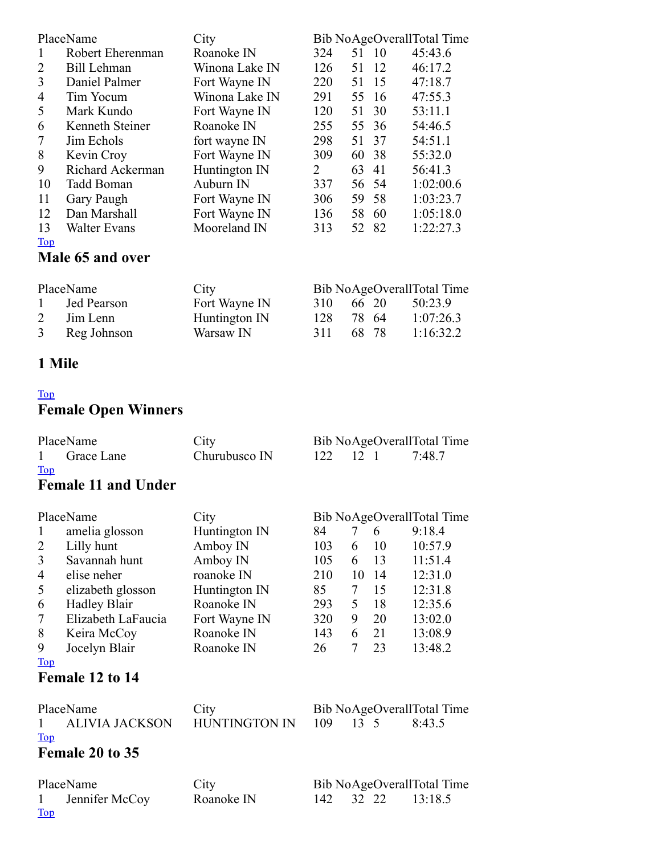| PlaceName        |                     | City           | Bib NoAgeOverallTotal Time |       |    |                            |  |
|------------------|---------------------|----------------|----------------------------|-------|----|----------------------------|--|
| $\mathbf{1}$     | Robert Eherenman    | Roanoke IN     | 324                        | 51 10 |    | 45:43.6                    |  |
| 2                | Bill Lehman         | Winona Lake IN | 126                        | 51    | 12 | 46:17.2                    |  |
| 3                | Daniel Palmer       | Fort Wayne IN  | 220                        | 51    | 15 | 47:18.7                    |  |
| 4                | Tim Yocum           | Winona Lake IN | 291                        | 55    | 16 | 47:55.3                    |  |
| 5                | Mark Kundo          | Fort Wayne IN  | 120                        | 51    | 30 | 53:11.1                    |  |
| 6                | Kenneth Steiner     | Roanoke IN     | 255                        | 55    | 36 | 54:46.5                    |  |
| $\tau$           | Jim Echols          | fort wayne IN  | 298                        | 51    | 37 | 54:51.1                    |  |
| 8                | Kevin Croy          | Fort Wayne IN  | 309                        | 60    | 38 | 55:32.0                    |  |
| 9                | Richard Ackerman    | Huntington IN  | 2                          | 63    | 41 | 56:41.3                    |  |
| 10               | Tadd Boman          | Auburn IN      | 337                        | 56    | 54 | 1:02:00.6                  |  |
| 11               | Gary Paugh          | Fort Wayne IN  | 306                        | 59    | 58 | 1:03:23.7                  |  |
| 12               | Dan Marshall        | Fort Wayne IN  | 136                        | 58    | 60 | 1:05:18.0                  |  |
| 13               | <b>Walter Evans</b> | Mooreland IN   | 313                        | 52 82 |    | 1:22:27.3                  |  |
| <b>Top</b>       |                     |                |                            |       |    |                            |  |
| Male 65 and over |                     |                |                            |       |    |                            |  |
|                  | PlaceName           | City           |                            |       |    | Bib NoAgeOverallTotal Time |  |
| 1                | Jed Pearson         | Fort Wayne IN  | 310                        | 66 20 |    | 50:23.9                    |  |
| 2                | Jim Lenn            | Huntington IN  | 128                        | 78    | 64 | 1:07:26.3                  |  |
| 3                | Reg Johnson         | Warsaw IN      | 311                        | 68    | 78 | 1:16:32.2                  |  |

#### Mile

[Top](#page-0-0)

## Female Open Winners

| PlaceName               |                            | City                 | Bib NoAgeOverallTotal Time |              |    |         |
|-------------------------|----------------------------|----------------------|----------------------------|--------------|----|---------|
| 1                       | Grace Lane                 | Churubusco IN        | 122                        | $12 \quad 1$ |    | 7:48.7  |
| <b>Top</b>              |                            |                      |                            |              |    |         |
|                         | <b>Female 11 and Under</b> |                      |                            |              |    |         |
|                         |                            |                      |                            |              |    |         |
|                         | PlaceName                  | City                 | Bib NoAgeOverallTotal Time |              |    |         |
| 1                       | amelia glosson             | Huntington IN        | 84                         | 7            | 6  | 9:18.4  |
| 2                       | Lilly hunt                 | Amboy IN             | 103                        | 6            | 10 | 10:57.9 |
| $\overline{\mathbf{3}}$ | Savannah hunt              | Amboy IN             | 105                        | 6            | 13 | 11:51.4 |
| 4                       | elise neher                | roanoke IN           | 210                        | 10           | 14 | 12:31.0 |
| 5                       | elizabeth glosson          | Huntington IN        | 85                         | 7            | 15 | 12:31.8 |
| 6                       | <b>Hadley Blair</b>        | Roanoke IN           | 293                        | 5            | 18 | 12:35.6 |
| 7                       | Elizabeth LaFaucia         | Fort Wayne IN        | 320                        | 9            | 20 | 13:02.0 |
| 8                       | Keira McCoy                | Roanoke IN           | 143                        | 6            | 21 | 13:08.9 |
| 9                       | Jocelyn Blair              | Roanoke IN           | 26                         | $\tau$       | 23 | 13:48.2 |
| <b>Top</b>              |                            |                      |                            |              |    |         |
|                         | Female 12 to 14            |                      |                            |              |    |         |
| PlaceName               |                            | City                 | Bib NoAgeOverallTotal Time |              |    |         |
| 1                       | <b>ALIVIA JACKSON</b>      | <b>HUNTINGTON IN</b> | 109                        | $13 \quad 5$ |    | 8:43.5  |
| <b>Top</b>              |                            |                      |                            |              |    |         |
|                         | Female 20 to 35            |                      |                            |              |    |         |
| PlaceName               |                            | City                 | Bib NoAgeOverallTotal Time |              |    |         |
| 1<br>Top                | Jennifer McCoy             | Roanoke IN           | 142                        | 32 22        |    | 13:18.5 |